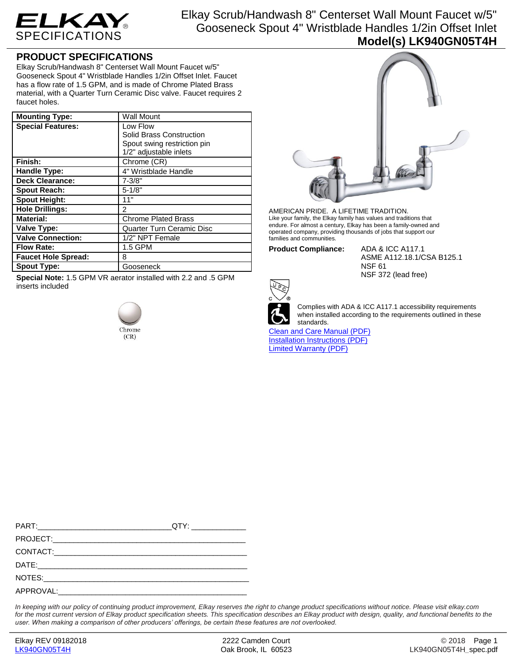

Elkay Scrub/Handwash 8" Centerset Wall Mount Faucet w/5" Gooseneck Spout 4" Wristblade Handles 1/2in Offset Inlet **Model(s) LK940GN05T4H**

## **PRODUCT SPECIFICATIONS**

Elkay Scrub/Handwash 8" Centerset Wall Mount Faucet w/5" Gooseneck Spout 4" Wristblade Handles 1/2in Offset Inlet. Faucet has a flow rate of 1.5 GPM, and is made of Chrome Plated Brass material, with a Quarter Turn Ceramic Disc valve. Faucet requires 2 faucet holes.

| <b>Mounting Type:</b>      | <b>Wall Mount</b>                |
|----------------------------|----------------------------------|
| <b>Special Features:</b>   | Low Flow                         |
|                            | Solid Brass Construction         |
|                            | Spout swing restriction pin      |
|                            | 1/2" adjustable inlets           |
| Finish:                    | Chrome (CR)                      |
| Handle Type:               | 4" Wristblade Handle             |
| <b>Deck Clearance:</b>     | $7 - 3/8"$                       |
| <b>Spout Reach:</b>        | $5 - 1/8"$                       |
| <b>Spout Height:</b>       | 11"                              |
| <b>Hole Drillings:</b>     | 2                                |
| <b>Material:</b>           | <b>Chrome Plated Brass</b>       |
| <b>Valve Type:</b>         | <b>Quarter Turn Ceramic Disc</b> |
| <b>Valve Connection:</b>   | 1/2" NPT Female                  |
| <b>Flow Rate:</b>          | 1.5 GPM                          |
| <b>Faucet Hole Spread:</b> | 8                                |
| <b>Spout Type:</b>         | Gooseneck                        |

**Special Note:** 1.5 GPM VR aerator installed with 2.2 and .5 GPM inserts included





AMERICAN PRIDE. A LIFETIME TRADITION. Like your family, the Elkay family has values and traditions that endure. For almost a century, Elkay has been a family-owned and operated company, providing thousands of jobs that support our families and communities.

**Product Compliance:** ADA & ICC A117.1

ASME A112.18.1/CSA B125.1 NSF 61 NSF 372 (lead free)



Complies with ADA & ICC A117.1 accessibility requirements when installed according to the requirements outlined in these standards.

[Clean and Care Manual \(PDF\)](http://www.elkay.com/wcsstore/lkdocs/care-cleaning-install-warranty-sheets/residential%20and%20commercial%20care%20%20cleaning.pdf) [Installation Instructions \(PDF\)](http://www.elkay.com/wcsstore/lkdocs/care-cleaning-install-warranty-sheets/a55483.pdf) [Limited Warranty](http://www.elkay.com/wcsstore/lkdocs/care-cleaning-install-warranty-sheets/commercial%20sinks%20and%20faucets%20warranty.pdf) (PDF)

*In keeping with our policy of continuing product improvement, Elkay reserves the right to change product specifications without notice. Please visit elkay.com for the most current version of Elkay product specification sheets. This specification describes an Elkay product with design, quality, and functional benefits to the user. When making a comparison of other producers' offerings, be certain these features are not overlooked.*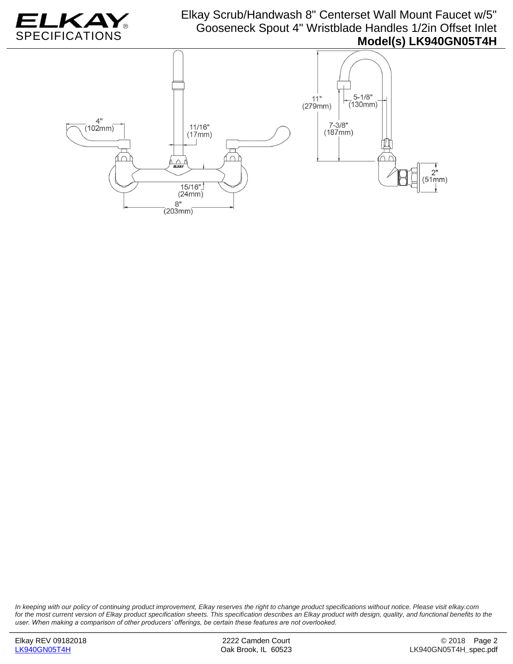

## Elkay Scrub/Handwash 8" Centerset Wall Mount Faucet w/5" Gooseneck Spout 4" Wristblade Handles 1/2in Offset Inlet **Model(s) LK940GN05T4H**



*In keeping with our policy of continuing product improvement, Elkay reserves the right to change product specifications without notice. Please visit elkay.com for the most current version of Elkay product specification sheets. This specification describes an Elkay product with design, quality, and functional benefits to the user. When making a comparison of other producers' offerings, be certain these features are not overlooked.*